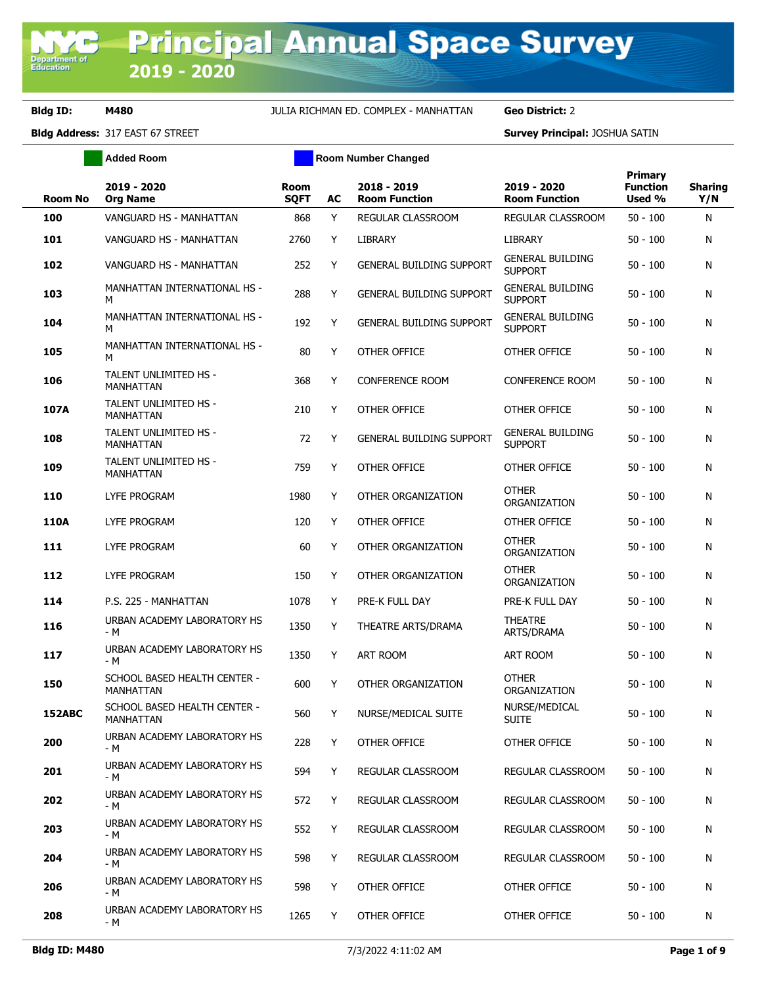**Department of**<br>Education

**Bldg ID: M480** JULIA RICHMAN ED. COMPLEX - MANHATTAN **Geo District:** 2

|                | <b>Added Room</b>                                |                            | <b>Room Number Changed</b> |                                     |                                           |                                             |                       |
|----------------|--------------------------------------------------|----------------------------|----------------------------|-------------------------------------|-------------------------------------------|---------------------------------------------|-----------------------|
| <b>Room No</b> | 2019 - 2020<br><b>Org Name</b>                   | <b>Room</b><br><b>SQFT</b> | AC                         | 2018 - 2019<br><b>Room Function</b> | 2019 - 2020<br><b>Room Function</b>       | <b>Primary</b><br><b>Function</b><br>Used % | <b>Sharing</b><br>Y/N |
| 100            | VANGUARD HS - MANHATTAN                          | 868                        | Y                          | REGULAR CLASSROOM                   | REGULAR CLASSROOM                         | $50 - 100$                                  | N                     |
| 101            | VANGUARD HS - MANHATTAN                          | 2760                       | Y                          | <b>LIBRARY</b>                      | <b>LIBRARY</b>                            | $50 - 100$                                  | N                     |
| 102            | VANGUARD HS - MANHATTAN                          | 252                        | Y                          | <b>GENERAL BUILDING SUPPORT</b>     | <b>GENERAL BUILDING</b><br><b>SUPPORT</b> | $50 - 100$                                  | N                     |
| 103            | MANHATTAN INTERNATIONAL HS -<br>М                | 288                        | Y                          | <b>GENERAL BUILDING SUPPORT</b>     | <b>GENERAL BUILDING</b><br><b>SUPPORT</b> | $50 - 100$                                  | N                     |
| 104            | MANHATTAN INTERNATIONAL HS -<br>м                | 192                        | Y                          | <b>GENERAL BUILDING SUPPORT</b>     | <b>GENERAL BUILDING</b><br><b>SUPPORT</b> | $50 - 100$                                  | N                     |
| 105            | MANHATTAN INTERNATIONAL HS -<br>M                | 80                         | Y                          | OTHER OFFICE                        | OTHER OFFICE                              | $50 - 100$                                  | N                     |
| 106            | TALENT UNLIMITED HS -<br>MANHATTAN               | 368                        | Y                          | <b>CONFERENCE ROOM</b>              | <b>CONFERENCE ROOM</b>                    | $50 - 100$                                  | N                     |
| 107A           | TALENT UNLIMITED HS -<br>MANHATTAN               | 210                        | Y                          | OTHER OFFICE                        | OTHER OFFICE                              | $50 - 100$                                  | N                     |
| 108            | TALENT UNLIMITED HS -<br><b>MANHATTAN</b>        | 72                         | Y                          | <b>GENERAL BUILDING SUPPORT</b>     | <b>GENERAL BUILDING</b><br><b>SUPPORT</b> | $50 - 100$                                  | N                     |
| 109            | TALENT UNLIMITED HS -<br><b>MANHATTAN</b>        | 759                        | Y                          | OTHER OFFICE                        | OTHER OFFICE                              | $50 - 100$                                  | N                     |
| 110            | <b>LYFE PROGRAM</b>                              | 1980                       | Y                          | OTHER ORGANIZATION                  | <b>OTHER</b><br>ORGANIZATION              | $50 - 100$                                  | N                     |
| <b>110A</b>    | <b>LYFE PROGRAM</b>                              | 120                        | Y                          | OTHER OFFICE                        | OTHER OFFICE                              | $50 - 100$                                  | N                     |
| 111            | LYFE PROGRAM                                     | 60                         | Y                          | OTHER ORGANIZATION                  | <b>OTHER</b><br>ORGANIZATION              | $50 - 100$                                  | N                     |
| 112            | LYFE PROGRAM                                     | 150                        | Y                          | OTHER ORGANIZATION                  | <b>OTHER</b><br>ORGANIZATION              | $50 - 100$                                  | N                     |
| 114            | P.S. 225 - MANHATTAN                             | 1078                       | Y                          | PRE-K FULL DAY                      | PRE-K FULL DAY                            | $50 - 100$                                  | N                     |
| 116            | URBAN ACADEMY LABORATORY HS<br>- M               | 1350                       | Y                          | THEATRE ARTS/DRAMA                  | <b>THEATRE</b><br>ARTS/DRAMA              | $50 - 100$                                  | N                     |
| 117            | URBAN ACADEMY LABORATORY HS<br>- M               | 1350                       | Y                          | ART ROOM                            | <b>ART ROOM</b>                           | $50 - 100$                                  | N                     |
| 150            | SCHOOL BASED HEALTH CENTER -<br><b>MANHATTAN</b> | 600                        | Y                          | OTHER ORGANIZATION                  | <b>OTHER</b><br>ORGANIZATION              | $50 - 100$                                  | N                     |
| 152ABC         | SCHOOL BASED HEALTH CENTER -<br><b>MANHATTAN</b> | 560                        | Y                          | NURSE/MEDICAL SUITE                 | NURSE/MEDICAL<br><b>SUITE</b>             | $50 - 100$                                  | N                     |
| 200            | URBAN ACADEMY LABORATORY HS<br>- M               | 228                        | Y                          | OTHER OFFICE                        | OTHER OFFICE                              | $50 - 100$                                  | N                     |
| 201            | URBAN ACADEMY LABORATORY HS<br>- M               | 594                        | Y                          | REGULAR CLASSROOM                   | REGULAR CLASSROOM                         | $50 - 100$                                  | N                     |
| 202            | URBAN ACADEMY LABORATORY HS<br>- M               | 572                        | Y                          | REGULAR CLASSROOM                   | REGULAR CLASSROOM                         | $50 - 100$                                  | N                     |
| 203            | URBAN ACADEMY LABORATORY HS<br>- M               | 552                        | Y                          | REGULAR CLASSROOM                   | REGULAR CLASSROOM                         | $50 - 100$                                  | N                     |
| 204            | URBAN ACADEMY LABORATORY HS<br>- M               | 598                        | Y                          | <b>REGULAR CLASSROOM</b>            | REGULAR CLASSROOM                         | $50 - 100$                                  | N                     |
| 206            | URBAN ACADEMY LABORATORY HS<br>- M               | 598                        | Y                          | OTHER OFFICE                        | OTHER OFFICE                              | $50 - 100$                                  | N                     |
| 208            | URBAN ACADEMY LABORATORY HS<br>- M               | 1265                       | Y                          | OTHER OFFICE                        | OTHER OFFICE                              | $50 - 100$                                  | N                     |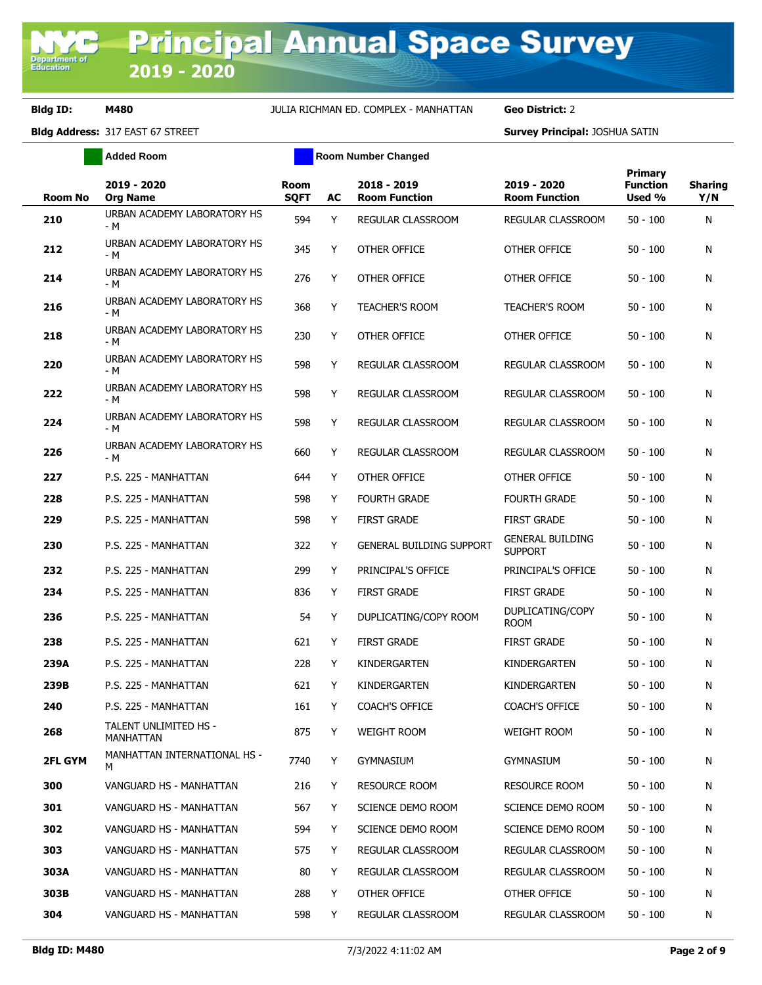|                | <b>Added Room</b>                  |                            | <b>Room Number Changed</b> |                                     |                                           |                                             |                       |
|----------------|------------------------------------|----------------------------|----------------------------|-------------------------------------|-------------------------------------------|---------------------------------------------|-----------------------|
| <b>Room No</b> | 2019 - 2020<br><b>Org Name</b>     | <b>Room</b><br><b>SQFT</b> | AC                         | 2018 - 2019<br><b>Room Function</b> | 2019 - 2020<br><b>Room Function</b>       | <b>Primary</b><br><b>Function</b><br>Used % | <b>Sharing</b><br>Y/N |
| 210            | URBAN ACADEMY LABORATORY HS<br>- M | 594                        | Y                          | REGULAR CLASSROOM                   | REGULAR CLASSROOM                         | $50 - 100$                                  | N                     |
| 212            | URBAN ACADEMY LABORATORY HS<br>- M | 345                        | Y                          | OTHER OFFICE                        | OTHER OFFICE                              | $50 - 100$                                  | N                     |
| 214            | URBAN ACADEMY LABORATORY HS<br>- M | 276                        | Υ                          | OTHER OFFICE                        | OTHER OFFICE                              | $50 - 100$                                  | N                     |
| 216            | URBAN ACADEMY LABORATORY HS<br>- M | 368                        | Y                          | <b>TEACHER'S ROOM</b>               | <b>TEACHER'S ROOM</b>                     | $50 - 100$                                  | N                     |
| 218            | URBAN ACADEMY LABORATORY HS<br>- M | 230                        | Υ                          | OTHER OFFICE                        | OTHER OFFICE                              | $50 - 100$                                  | N                     |
| 220            | URBAN ACADEMY LABORATORY HS<br>- M | 598                        | Y                          | REGULAR CLASSROOM                   | REGULAR CLASSROOM                         | $50 - 100$                                  | N                     |
| 222            | URBAN ACADEMY LABORATORY HS<br>- M | 598                        | Y                          | REGULAR CLASSROOM                   | REGULAR CLASSROOM                         | $50 - 100$                                  | N                     |
| 224            | URBAN ACADEMY LABORATORY HS<br>- M | 598                        | Y                          | REGULAR CLASSROOM                   | REGULAR CLASSROOM                         | $50 - 100$                                  | N                     |
| 226            | URBAN ACADEMY LABORATORY HS<br>- M | 660                        | Y                          | REGULAR CLASSROOM                   | REGULAR CLASSROOM                         | $50 - 100$                                  | N                     |
| 227            | P.S. 225 - MANHATTAN               | 644                        | Y                          | OTHER OFFICE                        | OTHER OFFICE                              | $50 - 100$                                  | N                     |
| 228            | P.S. 225 - MANHATTAN               | 598                        | Y                          | <b>FOURTH GRADE</b>                 | <b>FOURTH GRADE</b>                       | $50 - 100$                                  | N                     |
| 229            | P.S. 225 - MANHATTAN               | 598                        | Y                          | <b>FIRST GRADE</b>                  | <b>FIRST GRADE</b>                        | $50 - 100$                                  | N                     |
| 230            | P.S. 225 - MANHATTAN               | 322                        | Y                          | <b>GENERAL BUILDING SUPPORT</b>     | <b>GENERAL BUILDING</b><br><b>SUPPORT</b> | $50 - 100$                                  | N                     |
| 232            | P.S. 225 - MANHATTAN               | 299                        | Y                          | PRINCIPAL'S OFFICE                  | PRINCIPAL'S OFFICE                        | $50 - 100$                                  | N                     |
| 234            | P.S. 225 - MANHATTAN               | 836                        | Υ                          | <b>FIRST GRADE</b>                  | <b>FIRST GRADE</b>                        | $50 - 100$                                  | N                     |
| 236            | P.S. 225 - MANHATTAN               | 54                         | Y                          | DUPLICATING/COPY ROOM               | DUPLICATING/COPY<br><b>ROOM</b>           | $50 - 100$                                  | N                     |
| 238            | P.S. 225 - MANHATTAN               | 621                        | Y                          | <b>FIRST GRADE</b>                  | <b>FIRST GRADE</b>                        | $50 - 100$                                  | N                     |
| 239A           | P.S. 225 - MANHATTAN               | 228                        | Y                          | KINDERGARTEN                        | KINDERGARTEN                              | $50 - 100$                                  | N                     |
| 239B           | P.S. 225 - MANHATTAN               | 621                        | Y                          | KINDERGARTEN                        | KINDERGARTEN                              | $50 - 100$                                  | N                     |
| 240            | P.S. 225 - MANHATTAN               | 161                        | Y                          | <b>COACH'S OFFICE</b>               | COACH'S OFFICE                            | $50 - 100$                                  | N                     |
| 268            | TALENT UNLIMITED HS -<br>MANHATTAN | 875                        | Y                          | <b>WEIGHT ROOM</b>                  | WEIGHT ROOM                               | $50 - 100$                                  | N                     |
| <b>2FL GYM</b> | MANHATTAN INTERNATIONAL HS -<br>м  | 7740                       | Y                          | <b>GYMNASIUM</b>                    | <b>GYMNASIUM</b>                          | $50 - 100$                                  | N                     |
| 300            | VANGUARD HS - MANHATTAN            | 216                        | Y                          | <b>RESOURCE ROOM</b>                | <b>RESOURCE ROOM</b>                      | $50 - 100$                                  | N                     |
| 301            | VANGUARD HS - MANHATTAN            | 567                        | Y                          | SCIENCE DEMO ROOM                   | SCIENCE DEMO ROOM                         | 50 - 100                                    | N                     |
| 302            | VANGUARD HS - MANHATTAN            | 594                        | Y                          | SCIENCE DEMO ROOM                   | SCIENCE DEMO ROOM                         | 50 - 100                                    | N                     |
| 303            | VANGUARD HS - MANHATTAN            | 575                        | Y                          | <b>REGULAR CLASSROOM</b>            | REGULAR CLASSROOM                         | 50 - 100                                    | N                     |
| 303A           | VANGUARD HS - MANHATTAN            | 80                         | Y                          | REGULAR CLASSROOM                   | REGULAR CLASSROOM                         | 50 - 100                                    | N                     |
| 303B           | VANGUARD HS - MANHATTAN            | 288                        | Y                          | OTHER OFFICE                        | OTHER OFFICE                              | $50 - 100$                                  | N                     |
| 304            | VANGUARD HS - MANHATTAN            | 598                        | Y                          | REGULAR CLASSROOM                   | REGULAR CLASSROOM                         | $50 - 100$                                  | N                     |
|                |                                    |                            |                            |                                     |                                           |                                             |                       |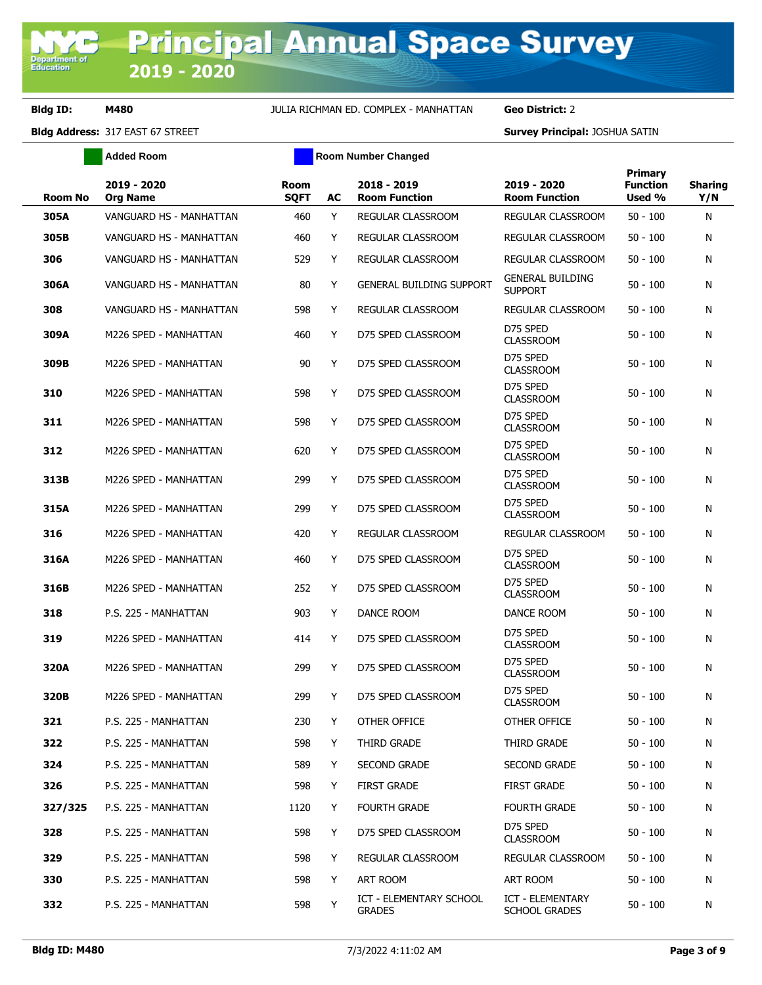|                | <b>Added Room</b>              |                            | <b>Room Number Changed</b> |                                                 |                                           |                                             |                       |
|----------------|--------------------------------|----------------------------|----------------------------|-------------------------------------------------|-------------------------------------------|---------------------------------------------|-----------------------|
| <b>Room No</b> | 2019 - 2020<br><b>Org Name</b> | <b>Room</b><br><b>SQFT</b> | AC                         | 2018 - 2019<br><b>Room Function</b>             | 2019 - 2020<br><b>Room Function</b>       | <b>Primary</b><br><b>Function</b><br>Used % | <b>Sharing</b><br>Y/N |
| 305A           | VANGUARD HS - MANHATTAN        | 460                        | Y                          | REGULAR CLASSROOM                               | REGULAR CLASSROOM                         | $50 - 100$                                  | N                     |
| 305B           | VANGUARD HS - MANHATTAN        | 460                        | Y                          | <b>REGULAR CLASSROOM</b>                        | REGULAR CLASSROOM                         | $50 - 100$                                  | N                     |
| 306            | VANGUARD HS - MANHATTAN        | 529                        | Y                          | REGULAR CLASSROOM                               | REGULAR CLASSROOM                         | $50 - 100$                                  | N                     |
| 306A           | VANGUARD HS - MANHATTAN        | 80                         | Y                          | <b>GENERAL BUILDING SUPPORT</b>                 | <b>GENERAL BUILDING</b><br><b>SUPPORT</b> | $50 - 100$                                  | N                     |
| 308            | VANGUARD HS - MANHATTAN        | 598                        | Y                          | REGULAR CLASSROOM                               | REGULAR CLASSROOM                         | $50 - 100$                                  | N                     |
| 309A           | M226 SPED - MANHATTAN          | 460                        | Y                          | D75 SPED CLASSROOM                              | D75 SPED<br><b>CLASSROOM</b>              | $50 - 100$                                  | N                     |
| 309B           | M226 SPED - MANHATTAN          | 90                         | Y                          | D75 SPED CLASSROOM                              | D75 SPED<br><b>CLASSROOM</b>              | $50 - 100$                                  | N                     |
| 310            | M226 SPED - MANHATTAN          | 598                        | Y                          | D75 SPED CLASSROOM                              | D75 SPED<br><b>CLASSROOM</b>              | $50 - 100$                                  | N                     |
| 311            | M226 SPED - MANHATTAN          | 598                        | Y                          | D75 SPED CLASSROOM                              | D75 SPED<br><b>CLASSROOM</b>              | $50 - 100$                                  | N                     |
| 312            | M226 SPED - MANHATTAN          | 620                        | Y                          | D75 SPED CLASSROOM                              | D75 SPED<br><b>CLASSROOM</b>              | $50 - 100$                                  | N                     |
| 313B           | M226 SPED - MANHATTAN          | 299                        | Y                          | D75 SPED CLASSROOM                              | D75 SPED<br><b>CLASSROOM</b>              | $50 - 100$                                  | N                     |
| 315A           | M226 SPED - MANHATTAN          | 299                        | Y                          | D75 SPED CLASSROOM                              | D75 SPED<br><b>CLASSROOM</b>              | $50 - 100$                                  | N                     |
| 316            | M226 SPED - MANHATTAN          | 420                        | Y                          | REGULAR CLASSROOM                               | REGULAR CLASSROOM                         | $50 - 100$                                  | N                     |
| 316A           | M226 SPED - MANHATTAN          | 460                        | Y                          | D75 SPED CLASSROOM                              | D75 SPED<br><b>CLASSROOM</b>              | $50 - 100$                                  | N                     |
| 316B           | M226 SPED - MANHATTAN          | 252                        | Y                          | D75 SPED CLASSROOM                              | D75 SPED<br><b>CLASSROOM</b>              | $50 - 100$                                  | N                     |
| 318            | P.S. 225 - MANHATTAN           | 903                        | Y                          | DANCE ROOM                                      | DANCE ROOM                                | $50 - 100$                                  | N                     |
| 319            | M226 SPED - MANHATTAN          | 414                        | Y                          | D75 SPED CLASSROOM                              | D75 SPED<br><b>CLASSROOM</b>              | $50 - 100$                                  | N                     |
| 320A           | M226 SPED - MANHATTAN          | 299                        | Y                          | D75 SPED CLASSROOM                              | D75 SPED<br><b>CLASSROOM</b>              | $50 - 100$                                  | N                     |
| 320B           | M226 SPED - MANHATTAN          | 299                        | Y                          | D75 SPED CLASSROOM                              | D75 SPED<br><b>CLASSROOM</b>              | $50 - 100$                                  | N                     |
| 321            | P.S. 225 - MANHATTAN           | 230                        | Y                          | OTHER OFFICE                                    | OTHER OFFICE                              | $50 - 100$                                  | N                     |
| 322            | P.S. 225 - MANHATTAN           | 598                        | Y                          | THIRD GRADE                                     | THIRD GRADE                               | $50 - 100$                                  | N                     |
| 324            | P.S. 225 - MANHATTAN           | 589                        | Y                          | <b>SECOND GRADE</b>                             | SECOND GRADE                              | $50 - 100$                                  | N                     |
| 326            | P.S. 225 - MANHATTAN           | 598                        | Y                          | <b>FIRST GRADE</b>                              | <b>FIRST GRADE</b>                        | $50 - 100$                                  | N                     |
| 327/325        | P.S. 225 - MANHATTAN           | 1120                       | Y                          | <b>FOURTH GRADE</b>                             | <b>FOURTH GRADE</b>                       | 50 - 100                                    | N                     |
| 328            | P.S. 225 - MANHATTAN           | 598                        | Y                          | D75 SPED CLASSROOM                              | D75 SPED<br><b>CLASSROOM</b>              | $50 - 100$                                  | N                     |
| 329            | P.S. 225 - MANHATTAN           | 598                        | Y                          | REGULAR CLASSROOM                               | REGULAR CLASSROOM                         | $50 - 100$                                  | N                     |
| 330            | P.S. 225 - MANHATTAN           | 598                        | Y                          | ART ROOM                                        | ART ROOM                                  | $50 - 100$                                  | N                     |
| 332            | P.S. 225 - MANHATTAN           | 598                        | Y                          | <b>ICT - ELEMENTARY SCHOOL</b><br><b>GRADES</b> | <b>ICT - ELEMENTARY</b><br>SCHOOL GRADES  | $50 - 100$                                  | N                     |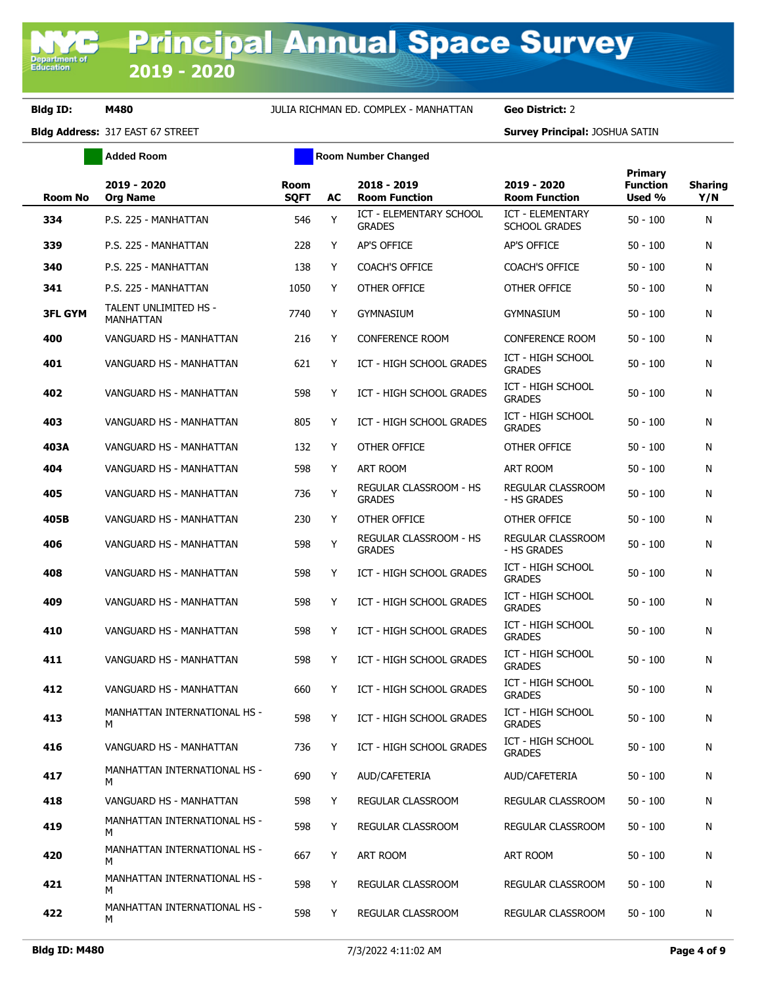**Added Room Room Room Number Changed** 

| <b>Room No</b> | 2019 - 2020<br><b>Org Name</b>            | <b>Room</b><br><b>SQFT</b> | AC | 2018 - 2019<br><b>Room Function</b>             | 2019 - 2020<br><b>Room Function</b>             | Primary<br><b>Function</b><br>Used % | <b>Sharing</b><br>Y/N |
|----------------|-------------------------------------------|----------------------------|----|-------------------------------------------------|-------------------------------------------------|--------------------------------------|-----------------------|
| 334            | P.S. 225 - MANHATTAN                      | 546                        | Y  | <b>ICT - ELEMENTARY SCHOOL</b><br><b>GRADES</b> | <b>ICT - ELEMENTARY</b><br><b>SCHOOL GRADES</b> | $50 - 100$                           | N                     |
| 339            | P.S. 225 - MANHATTAN                      | 228                        | Y  | <b>AP'S OFFICE</b>                              | AP'S OFFICE                                     | $50 - 100$                           | N                     |
| 340            | P.S. 225 - MANHATTAN                      | 138                        | Y  | <b>COACH'S OFFICE</b>                           | <b>COACH'S OFFICE</b>                           | $50 - 100$                           | N                     |
| 341            | P.S. 225 - MANHATTAN                      | 1050                       | Y  | OTHER OFFICE                                    | OTHER OFFICE                                    | $50 - 100$                           | N                     |
| <b>3FL GYM</b> | TALENT UNLIMITED HS -<br><b>MANHATTAN</b> | 7740                       | Y  | <b>GYMNASIUM</b>                                | <b>GYMNASIUM</b>                                | $50 - 100$                           | N                     |
| 400            | VANGUARD HS - MANHATTAN                   | 216                        | Y  | <b>CONFERENCE ROOM</b>                          | <b>CONFERENCE ROOM</b>                          | $50 - 100$                           | N                     |
| 401            | VANGUARD HS - MANHATTAN                   | 621                        | Y  | ICT - HIGH SCHOOL GRADES                        | ICT - HIGH SCHOOL<br><b>GRADES</b>              | $50 - 100$                           | N                     |
| 402            | VANGUARD HS - MANHATTAN                   | 598                        | Y  | ICT - HIGH SCHOOL GRADES                        | ICT - HIGH SCHOOL<br><b>GRADES</b>              | $50 - 100$                           | N                     |
| 403            | VANGUARD HS - MANHATTAN                   | 805                        | Y  | ICT - HIGH SCHOOL GRADES                        | ICT - HIGH SCHOOL<br><b>GRADES</b>              | $50 - 100$                           | N                     |
| 403A           | VANGUARD HS - MANHATTAN                   | 132                        | Y  | OTHER OFFICE                                    | OTHER OFFICE                                    | $50 - 100$                           | N                     |
| 404            | VANGUARD HS - MANHATTAN                   | 598                        | Y  | ART ROOM                                        | ART ROOM                                        | $50 - 100$                           | N                     |
| 405            | VANGUARD HS - MANHATTAN                   | 736                        | Y  | <b>REGULAR CLASSROOM - HS</b><br><b>GRADES</b>  | REGULAR CLASSROOM<br>- HS GRADES                | $50 - 100$                           | N                     |
| 405B           | VANGUARD HS - MANHATTAN                   | 230                        | Y  | OTHER OFFICE                                    | OTHER OFFICE                                    | $50 - 100$                           | N                     |
| 406            | VANGUARD HS - MANHATTAN                   | 598                        | Y  | REGULAR CLASSROOM - HS<br><b>GRADES</b>         | REGULAR CLASSROOM<br>- HS GRADES                | $50 - 100$                           | N                     |
| 408            | VANGUARD HS - MANHATTAN                   | 598                        | Y  | ICT - HIGH SCHOOL GRADES                        | ICT - HIGH SCHOOL<br><b>GRADES</b>              | $50 - 100$                           | N                     |
| 409            | VANGUARD HS - MANHATTAN                   | 598                        | Y  | ICT - HIGH SCHOOL GRADES                        | ICT - HIGH SCHOOL<br><b>GRADES</b>              | $50 - 100$                           | N                     |
| 410            | VANGUARD HS - MANHATTAN                   | 598                        | Y  | ICT - HIGH SCHOOL GRADES                        | ICT - HIGH SCHOOL<br><b>GRADES</b>              | $50 - 100$                           | N                     |
| 411            | VANGUARD HS - MANHATTAN                   | 598                        | Y  | ICT - HIGH SCHOOL GRADES                        | ICT - HIGH SCHOOL<br><b>GRADES</b>              | $50 - 100$                           | N                     |
| 412            | VANGUARD HS - MANHATTAN                   | 660                        | Y  | ICT - HIGH SCHOOL GRADES                        | ICT - HIGH SCHOOL<br><b>GRADES</b>              | $50 - 100$                           | N                     |
| 413            | MANHATTAN INTERNATIONAL HS -<br>M         | 598                        | Y. | ICT - HIGH SCHOOL GRADES                        | ICT - HIGH SCHOOL<br><b>GRADES</b>              | $50 - 100$                           | N                     |
| 416            | VANGUARD HS - MANHATTAN                   | 736                        | Y  | ICT - HIGH SCHOOL GRADES                        | ICT - HIGH SCHOOL<br><b>GRADES</b>              | $50 - 100$                           | N                     |
| 417            | MANHATTAN INTERNATIONAL HS -<br>М         | 690                        | Y  | AUD/CAFETERIA                                   | AUD/CAFETERIA                                   | $50 - 100$                           | N                     |
| 418            | VANGUARD HS - MANHATTAN                   | 598                        | Y  | REGULAR CLASSROOM                               | REGULAR CLASSROOM                               | $50 - 100$                           | N                     |
| 419            | MANHATTAN INTERNATIONAL HS -<br>M         | 598                        | Y  | REGULAR CLASSROOM                               | REGULAR CLASSROOM                               | 50 - 100                             | N                     |
| 420            | MANHATTAN INTERNATIONAL HS -<br>М         | 667                        | Y  | ART ROOM                                        | ART ROOM                                        | $50 - 100$                           | N                     |
| 421            | MANHATTAN INTERNATIONAL HS -<br>M         | 598                        | Y  | REGULAR CLASSROOM                               | REGULAR CLASSROOM                               | 50 - 100                             | N                     |
| 422            | MANHATTAN INTERNATIONAL HS -<br>M         | 598                        | Y  | REGULAR CLASSROOM                               | REGULAR CLASSROOM                               | 50 - 100                             | N                     |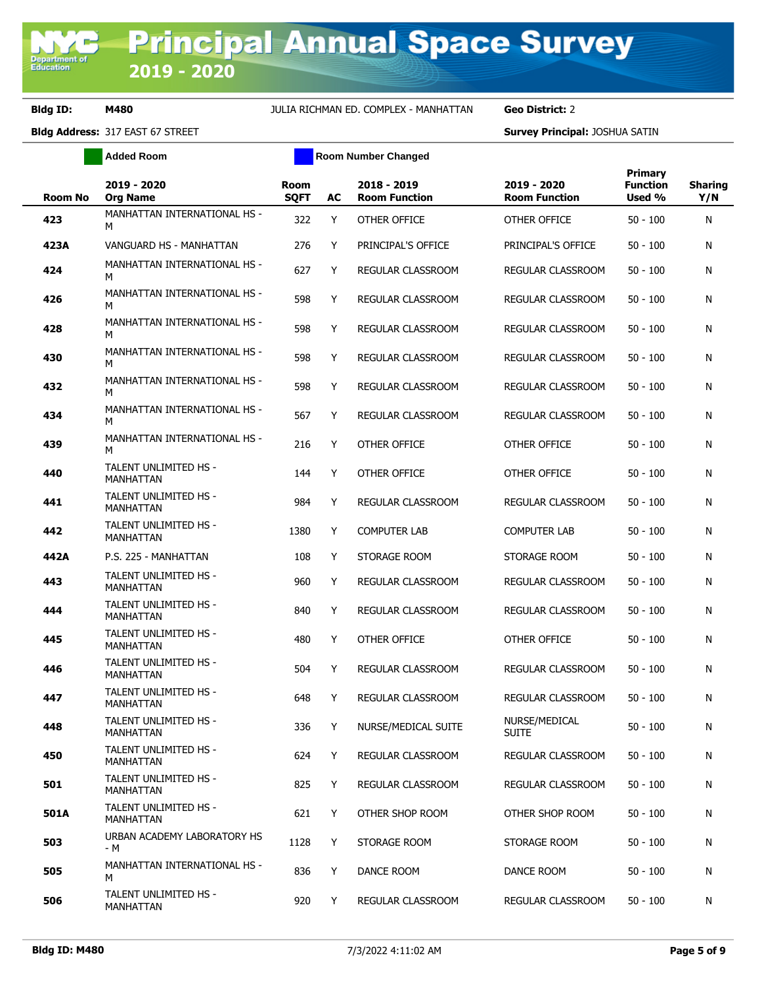**Added Room Room Room Number Changed** 

| <b>Room No</b> | 2019 - 2020<br><b>Org Name</b>            | <b>Room</b><br><b>SQFT</b> | AC | 2018 - 2019<br><b>Room Function</b> | 2019 - 2020<br><b>Room Function</b> | <b>Primary</b><br><b>Function</b><br>Used % | <b>Sharing</b><br>Y/N |
|----------------|-------------------------------------------|----------------------------|----|-------------------------------------|-------------------------------------|---------------------------------------------|-----------------------|
| 423            | MANHATTAN INTERNATIONAL HS -<br>M         | 322                        | Y  | OTHER OFFICE                        | OTHER OFFICE                        | $50 - 100$                                  | N                     |
| 423A           | VANGUARD HS - MANHATTAN                   | 276                        | Y  | PRINCIPAL'S OFFICE                  | PRINCIPAL'S OFFICE                  | $50 - 100$                                  | N                     |
| 424            | MANHATTAN INTERNATIONAL HS -<br>м         | 627                        | Y  | REGULAR CLASSROOM                   | REGULAR CLASSROOM                   | $50 - 100$                                  | N                     |
| 426            | MANHATTAN INTERNATIONAL HS -<br>м         | 598                        | Y  | <b>REGULAR CLASSROOM</b>            | REGULAR CLASSROOM                   | $50 - 100$                                  | N                     |
| 428            | MANHATTAN INTERNATIONAL HS -<br>м         | 598                        | Y  | <b>REGULAR CLASSROOM</b>            | REGULAR CLASSROOM                   | $50 - 100$                                  | N                     |
| 430            | MANHATTAN INTERNATIONAL HS -<br>М         | 598                        | Y  | REGULAR CLASSROOM                   | REGULAR CLASSROOM                   | $50 - 100$                                  | N                     |
| 432            | MANHATTAN INTERNATIONAL HS -<br>м         | 598                        | Y  | REGULAR CLASSROOM                   | REGULAR CLASSROOM                   | $50 - 100$                                  | N                     |
| 434            | MANHATTAN INTERNATIONAL HS -<br>M         | 567                        | Y  | <b>REGULAR CLASSROOM</b>            | REGULAR CLASSROOM                   | $50 - 100$                                  | N                     |
| 439            | MANHATTAN INTERNATIONAL HS -<br>м         | 216                        | Y  | OTHER OFFICE                        | OTHER OFFICE                        | $50 - 100$                                  | N                     |
| 440            | TALENT UNLIMITED HS -<br><b>MANHATTAN</b> | 144                        | Y  | OTHER OFFICE                        | OTHER OFFICE                        | $50 - 100$                                  | N                     |
| 441            | TALENT UNLIMITED HS -<br>MANHATTAN        | 984                        | Y  | REGULAR CLASSROOM                   | REGULAR CLASSROOM                   | $50 - 100$                                  | N                     |
| 442            | TALENT UNLIMITED HS -<br>MANHATTAN        | 1380                       | Y  | <b>COMPUTER LAB</b>                 | <b>COMPUTER LAB</b>                 | $50 - 100$                                  | N                     |
| 442A           | P.S. 225 - MANHATTAN                      | 108                        | Y  | STORAGE ROOM                        | STORAGE ROOM                        | $50 - 100$                                  | Ν                     |
| 443            | TALENT UNLIMITED HS -<br><b>MANHATTAN</b> | 960                        | Y  | REGULAR CLASSROOM                   | REGULAR CLASSROOM                   | $50 - 100$                                  | Ν                     |
| 444            | TALENT UNLIMITED HS -<br><b>MANHATTAN</b> | 840                        | Y  | REGULAR CLASSROOM                   | REGULAR CLASSROOM                   | $50 - 100$                                  | N                     |
| 445            | TALENT UNLIMITED HS -<br><b>MANHATTAN</b> | 480                        | Y  | OTHER OFFICE                        | OTHER OFFICE                        | $50 - 100$                                  | Ν                     |
| 446            | TALENT UNLIMITED HS -<br><b>MANHATTAN</b> | 504                        | Y  | <b>REGULAR CLASSROOM</b>            | REGULAR CLASSROOM                   | $50 - 100$                                  | N                     |
| 447            | TALENT UNLIMITED HS -<br><b>MANHATTAN</b> | 648                        | Y  | REGULAR CLASSROOM                   | REGULAR CLASSROOM                   | $50 - 100$                                  | Ν                     |
| 448            | TALENT UNLIMITED HS -<br>MANHATTAN        | 336                        | Y  | NURSE/MEDICAL SUITE                 | NURSE/MEDICAL<br><b>SUITE</b>       | $50 - 100$                                  | Ν                     |
| 450            | TALENT UNLIMITED HS -<br>MANHATTAN        | 624                        | Y  | <b>REGULAR CLASSROOM</b>            | REGULAR CLASSROOM                   | $50 - 100$                                  | N                     |
| 501            | TALENT UNLIMITED HS -<br>MANHATTAN        | 825                        | Y  | REGULAR CLASSROOM                   | REGULAR CLASSROOM                   | $50 - 100$                                  | N                     |
| 501A           | TALENT UNLIMITED HS -<br>MANHATTAN        | 621                        | Y  | OTHER SHOP ROOM                     | OTHER SHOP ROOM                     | $50 - 100$                                  | N                     |
| 503            | URBAN ACADEMY LABORATORY HS<br>- M        | 1128                       | Y  | STORAGE ROOM                        | STORAGE ROOM                        | $50 - 100$                                  | Ν                     |
| 505            | MANHATTAN INTERNATIONAL HS -<br>м         | 836                        | Y  | DANCE ROOM                          | DANCE ROOM                          | $50 - 100$                                  | N                     |
| 506            | TALENT UNLIMITED HS -<br>MANHATTAN        | 920                        | Y  | REGULAR CLASSROOM                   | REGULAR CLASSROOM                   | $50 - 100$                                  | N                     |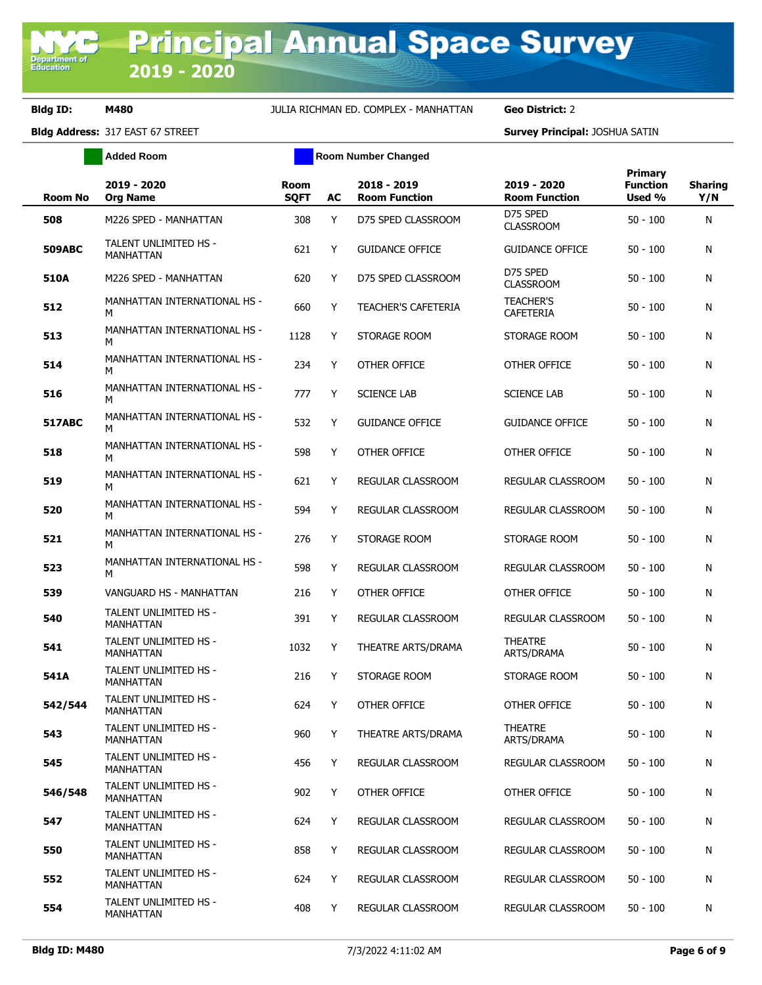**Added Room Room Room Number Changed** 

| <b>Room No</b> | 2019 - 2020<br><b>Org Name</b>            | <b>Room</b><br><b>SQFT</b> | AC | 2018 - 2019<br><b>Room Function</b> | 2019 - 2020<br><b>Room Function</b>  | <b>Primary</b><br><b>Function</b><br>Used % | <b>Sharing</b><br>Y/N |
|----------------|-------------------------------------------|----------------------------|----|-------------------------------------|--------------------------------------|---------------------------------------------|-----------------------|
| 508            | M226 SPED - MANHATTAN                     | 308                        | Y  | D75 SPED CLASSROOM                  | D75 SPED<br><b>CLASSROOM</b>         | $50 - 100$                                  | N                     |
| <b>509ABC</b>  | <b>TALENT UNLIMITED HS -</b><br>MANHATTAN | 621                        | Y  | <b>GUIDANCE OFFICE</b>              | <b>GUIDANCE OFFICE</b>               | $50 - 100$                                  | Ν                     |
| 510A           | M226 SPED - MANHATTAN                     | 620                        | Y  | D75 SPED CLASSROOM                  | D75 SPED<br><b>CLASSROOM</b>         | $50 - 100$                                  | Ν                     |
| 512            | MANHATTAN INTERNATIONAL HS -<br>M         | 660                        | Y  | <b>TEACHER'S CAFETERIA</b>          | <b>TEACHER'S</b><br><b>CAFETERIA</b> | $50 - 100$                                  | Ν                     |
| 513            | MANHATTAN INTERNATIONAL HS -<br>M         | 1128                       | Y  | STORAGE ROOM                        | STORAGE ROOM                         | $50 - 100$                                  | N                     |
| 514            | MANHATTAN INTERNATIONAL HS -<br>M         | 234                        | Y  | OTHER OFFICE                        | OTHER OFFICE                         | $50 - 100$                                  | Ν                     |
| 516            | MANHATTAN INTERNATIONAL HS -<br>М         | 777                        | Y  | <b>SCIENCE LAB</b>                  | <b>SCIENCE LAB</b>                   | $50 - 100$                                  | Ν                     |
| <b>517ABC</b>  | MANHATTAN INTERNATIONAL HS -<br>м         | 532                        | Y  | <b>GUIDANCE OFFICE</b>              | <b>GUIDANCE OFFICE</b>               | $50 - 100$                                  | Ν                     |
| 518            | MANHATTAN INTERNATIONAL HS -<br>м         | 598                        | Y  | OTHER OFFICE                        | OTHER OFFICE                         | $50 - 100$                                  | N                     |
| 519            | MANHATTAN INTERNATIONAL HS -<br>м         | 621                        | Y  | REGULAR CLASSROOM                   | REGULAR CLASSROOM                    | $50 - 100$                                  | Ν                     |
| 520            | MANHATTAN INTERNATIONAL HS -<br>M         | 594                        | Y  | <b>REGULAR CLASSROOM</b>            | REGULAR CLASSROOM                    | $50 - 100$                                  | Ν                     |
| 521            | MANHATTAN INTERNATIONAL HS -<br>M         | 276                        | Y  | STORAGE ROOM                        | STORAGE ROOM                         | $50 - 100$                                  | Ν                     |
| 523            | MANHATTAN INTERNATIONAL HS -<br>M         | 598                        | Y  | REGULAR CLASSROOM                   | REGULAR CLASSROOM                    | $50 - 100$                                  | Ν                     |
| 539            | VANGUARD HS - MANHATTAN                   | 216                        | Y  | OTHER OFFICE                        | OTHER OFFICE                         | $50 - 100$                                  | Ν                     |
| 540            | TALENT UNLIMITED HS -<br>MANHATTAN        | 391                        | Y  | REGULAR CLASSROOM                   | REGULAR CLASSROOM                    | $50 - 100$                                  | Ν                     |
| 541            | TALENT UNLIMITED HS -<br><b>MANHATTAN</b> | 1032                       | Y  | THEATRE ARTS/DRAMA                  | <b>THEATRE</b><br>ARTS/DRAMA         | $50 - 100$                                  | Ν                     |
| 541A           | TALENT UNLIMITED HS -<br><b>MANHATTAN</b> | 216                        | Y  | STORAGE ROOM                        | STORAGE ROOM                         | $50 - 100$                                  | Ν                     |
| 542/544        | TALENT UNLIMITED HS -<br><b>MANHATTAN</b> | 624                        | Y  | OTHER OFFICE                        | OTHER OFFICE                         | $50 - 100$                                  | Ν                     |
| 543            | TALENT UNLIMITED HS -<br>MANHATTAN        | 960                        | Y  | THEATRE ARTS/DRAMA                  | <b>THEATRE</b><br>ARTS/DRAMA         | $50 - 100$                                  | Ν                     |
| 545            | TALENT UNLIMITED HS -<br><b>MANHATTAN</b> | 456                        | Y  | REGULAR CLASSROOM                   | REGULAR CLASSROOM                    | $50 - 100$                                  | Ν                     |
| 546/548        | TALENT UNLIMITED HS -<br><b>MANHATTAN</b> | 902                        | Y  | OTHER OFFICE                        | OTHER OFFICE                         | $50 - 100$                                  | N                     |
| 547            | TALENT UNLIMITED HS -<br>MANHATTAN        | 624                        | Υ  | REGULAR CLASSROOM                   | REGULAR CLASSROOM                    | $50 - 100$                                  | Ν                     |
| 550            | <b>TALENT UNLIMITED HS -</b><br>MANHATTAN | 858                        | Y  | REGULAR CLASSROOM                   | <b>REGULAR CLASSROOM</b>             | $50 - 100$                                  | Ν                     |
| 552            | TALENT UNLIMITED HS -<br>MANHATTAN        | 624                        | Y  | REGULAR CLASSROOM                   | REGULAR CLASSROOM                    | $50 - 100$                                  | N                     |
| 554            | TALENT UNLIMITED HS -<br>MANHATTAN        | 408                        | Y  | REGULAR CLASSROOM                   | REGULAR CLASSROOM                    | $50 - 100$                                  | Ν                     |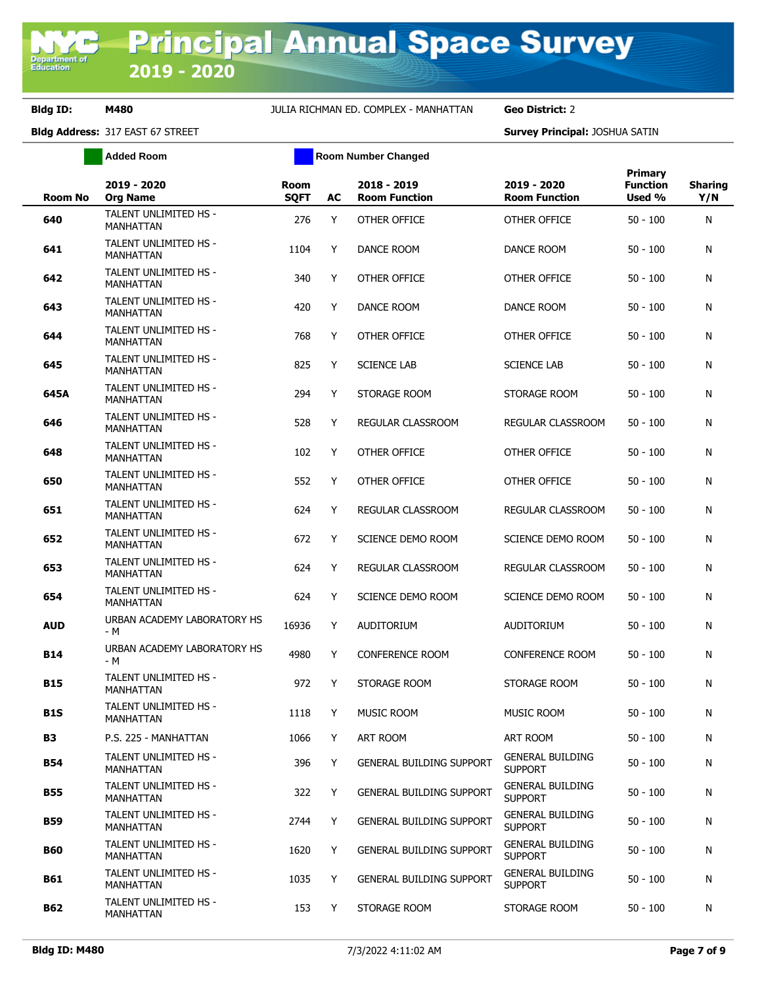**Added Room Room Room Number Changed** 

| <b>Room No</b> | 2019 - 2020<br><b>Org Name</b>            | <b>Room</b><br><b>SQFT</b> | AC | 2018 - 2019<br><b>Room Function</b> | 2019 - 2020<br><b>Room Function</b>       | <b>Primary</b><br><b>Function</b><br>Used % | <b>Sharing</b><br>Y/N |
|----------------|-------------------------------------------|----------------------------|----|-------------------------------------|-------------------------------------------|---------------------------------------------|-----------------------|
| 640            | TALENT UNLIMITED HS -<br><b>MANHATTAN</b> | 276                        | Y  | OTHER OFFICE                        | OTHER OFFICE                              | $50 - 100$                                  | N                     |
| 641            | TALENT UNLIMITED HS -<br>MANHATTAN        | 1104                       | Y  | DANCE ROOM                          | DANCE ROOM                                | $50 - 100$                                  | N                     |
| 642            | TALENT UNLIMITED HS -<br>MANHATTAN        | 340                        | Y  | OTHER OFFICE                        | OTHER OFFICE                              | $50 - 100$                                  | N                     |
| 643            | TALENT UNLIMITED HS -<br>MANHATTAN        | 420                        | Y  | DANCE ROOM                          | DANCE ROOM                                | $50 - 100$                                  | N                     |
| 644            | TALENT UNLIMITED HS -<br><b>MANHATTAN</b> | 768                        | Y  | OTHER OFFICE                        | OTHER OFFICE                              | $50 - 100$                                  | N                     |
| 645            | TALENT UNLIMITED HS -<br>MANHATTAN        | 825                        | Y  | <b>SCIENCE LAB</b>                  | <b>SCIENCE LAB</b>                        | $50 - 100$                                  | N                     |
| 645A           | TALENT UNLIMITED HS -<br>MANHATTAN        | 294                        | Y  | STORAGE ROOM                        | STORAGE ROOM                              | $50 - 100$                                  | N                     |
| 646            | TALENT UNLIMITED HS -<br>MANHATTAN        | 528                        | Y  | REGULAR CLASSROOM                   | REGULAR CLASSROOM                         | $50 - 100$                                  | N                     |
| 648            | TALENT UNLIMITED HS -<br>MANHATTAN        | 102                        | Y  | OTHER OFFICE                        | OTHER OFFICE                              | $50 - 100$                                  | N                     |
| 650            | TALENT UNLIMITED HS -<br>MANHATTAN        | 552                        | Y  | OTHER OFFICE                        | <b>OTHER OFFICE</b>                       | $50 - 100$                                  | N                     |
| 651            | TALENT UNLIMITED HS -<br>MANHATTAN        | 624                        | Y  | REGULAR CLASSROOM                   | REGULAR CLASSROOM                         | $50 - 100$                                  | N                     |
| 652            | <b>TALENT UNLIMITED HS -</b><br>MANHATTAN | 672                        | Y  | SCIENCE DEMO ROOM                   | SCIENCE DEMO ROOM                         | $50 - 100$                                  | N                     |
| 653            | TALENT UNLIMITED HS -<br><b>MANHATTAN</b> | 624                        | Y  | REGULAR CLASSROOM                   | REGULAR CLASSROOM                         | $50 - 100$                                  | N                     |
| 654            | TALENT UNLIMITED HS -<br>MANHATTAN        | 624                        | Y  | SCIENCE DEMO ROOM                   | SCIENCE DEMO ROOM                         | $50 - 100$                                  | N                     |
| <b>AUD</b>     | URBAN ACADEMY LABORATORY HS<br>- M        | 16936                      | Y  | AUDITORIUM                          | <b>AUDITORIUM</b>                         | $50 - 100$                                  | N                     |
| <b>B14</b>     | URBAN ACADEMY LABORATORY HS<br>- M        | 4980                       | Y  | <b>CONFERENCE ROOM</b>              | <b>CONFERENCE ROOM</b>                    | $50 - 100$                                  | N                     |
| <b>B15</b>     | TALENT UNLIMITED HS -<br><b>MANHATTAN</b> | 972                        | Y  | STORAGE ROOM                        | STORAGE ROOM                              | $50 - 100$                                  | N                     |
| <b>B1S</b>     | TALENT UNLIMITED HS -<br>MANHATTAN        | 1118                       | Y  | <b>MUSIC ROOM</b>                   | <b>MUSIC ROOM</b>                         | $50 - 100$                                  | N                     |
| <b>B3</b>      | P.S. 225 - MANHATTAN                      | 1066                       | Y  | ART ROOM                            | ART ROOM                                  | $50 - 100$                                  | N                     |
| <b>B54</b>     | <b>TALENT UNLIMITED HS -</b><br>MANHATTAN | 396                        | Y  | <b>GENERAL BUILDING SUPPORT</b>     | <b>GENERAL BUILDING</b><br><b>SUPPORT</b> | $50 - 100$                                  | N                     |
| <b>B55</b>     | TALENT UNLIMITED HS -<br>MANHATTAN        | 322                        | Y  | <b>GENERAL BUILDING SUPPORT</b>     | <b>GENERAL BUILDING</b><br><b>SUPPORT</b> | $50 - 100$                                  | N                     |
| <b>B59</b>     | TALENT UNLIMITED HS -<br>MANHATTAN        | 2744                       | Y  | <b>GENERAL BUILDING SUPPORT</b>     | <b>GENERAL BUILDING</b><br><b>SUPPORT</b> | $50 - 100$                                  | N                     |
| <b>B60</b>     | TALENT UNLIMITED HS -<br>MANHATTAN        | 1620                       | Y  | <b>GENERAL BUILDING SUPPORT</b>     | <b>GENERAL BUILDING</b><br><b>SUPPORT</b> | $50 - 100$                                  | N                     |
| B61            | TALENT UNLIMITED HS -<br>MANHATTAN        | 1035                       | Y  | <b>GENERAL BUILDING SUPPORT</b>     | <b>GENERAL BUILDING</b><br><b>SUPPORT</b> | $50 - 100$                                  | N                     |
| B62            | TALENT UNLIMITED HS -<br>MANHATTAN        | 153                        | Y  | STORAGE ROOM                        | STORAGE ROOM                              | $50 - 100$                                  | N                     |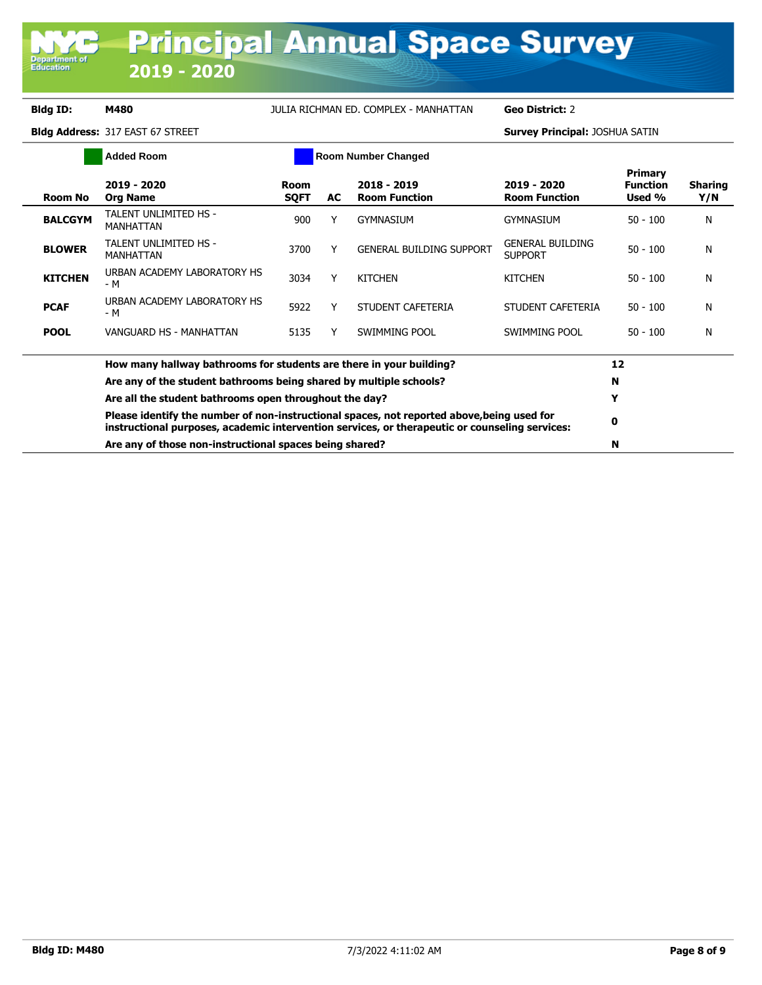**Department of**<br>Education

# **Bldg ID: M480** JULIA RICHMAN ED. COMPLEX - MANHATTAN **Geo District:** 2

| <b>Added Room</b> |                                                                                                                                                                                              |                            |    | <b>Room Number Changed</b>          |                                           |                                      |                       |
|-------------------|----------------------------------------------------------------------------------------------------------------------------------------------------------------------------------------------|----------------------------|----|-------------------------------------|-------------------------------------------|--------------------------------------|-----------------------|
| <b>Room No</b>    | 2019 - 2020<br><b>Org Name</b>                                                                                                                                                               | <b>Room</b><br><b>SQFT</b> | AC | 2018 - 2019<br><b>Room Function</b> | 2019 - 2020<br><b>Room Function</b>       | Primary<br><b>Function</b><br>Used % | <b>Sharing</b><br>Y/N |
| <b>BALCGYM</b>    | TALENT UNLIMITED HS -<br><b>MANHATTAN</b>                                                                                                                                                    | 900                        |    | <b>GYMNASIUM</b>                    | GYMNASIUM                                 | $50 - 100$                           | N                     |
| <b>BLOWER</b>     | TALENT UNLIMITED HS -<br><b>MANHATTAN</b>                                                                                                                                                    | 3700                       |    | <b>GENERAL BUILDING SUPPORT</b>     | <b>GENERAL BUILDING</b><br><b>SUPPORT</b> | $50 - 100$                           | N                     |
| <b>KITCHEN</b>    | URBAN ACADEMY LABORATORY HS<br>- M                                                                                                                                                           | 3034                       | Y  | <b>KITCHEN</b>                      | <b>KITCHEN</b>                            | $50 - 100$                           | N                     |
| <b>PCAF</b>       | URBAN ACADEMY LABORATORY HS<br>- M                                                                                                                                                           | 5922                       |    | STUDENT CAFETERIA                   | STUDENT CAFETERIA                         | $50 - 100$                           | N                     |
| <b>POOL</b>       | VANGUARD HS - MANHATTAN                                                                                                                                                                      | 5135                       | Y  | SWIMMING POOL                       | SWIMMING POOL                             | $50 - 100$                           | N                     |
|                   | How many hallway bathrooms for students are there in your building?                                                                                                                          |                            |    |                                     |                                           | 12                                   |                       |
|                   | Are any of the student bathrooms being shared by multiple schools?                                                                                                                           |                            |    |                                     |                                           |                                      |                       |
|                   | Are all the student bathrooms open throughout the day?                                                                                                                                       |                            |    |                                     |                                           |                                      |                       |
|                   | Please identify the number of non-instructional spaces, not reported above, being used for<br>instructional purposes, academic intervention services, or therapeutic or counseling services: |                            | 0  |                                     |                                           |                                      |                       |
|                   | Are any of those non-instructional spaces being shared?                                                                                                                                      |                            | N  |                                     |                                           |                                      |                       |